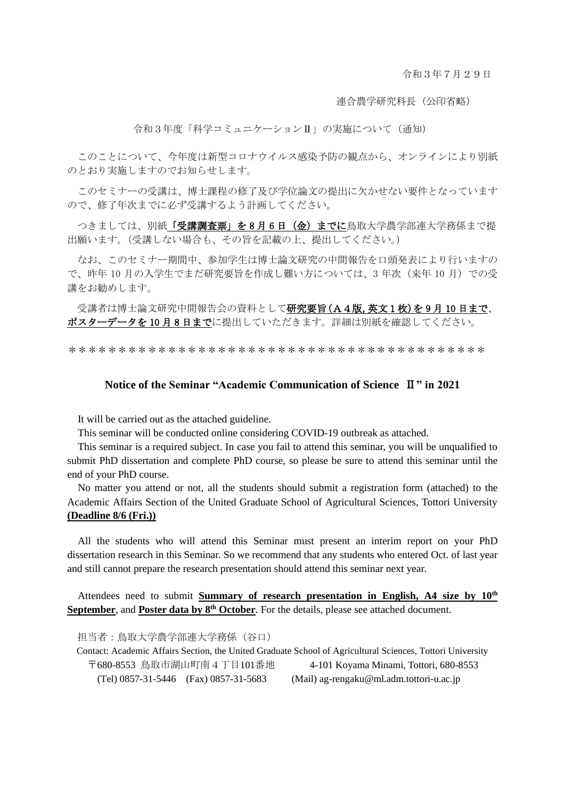令和3年7月29日

連合農学研究科長(公印省略)

令和3年度「科学コミュニケーションⅡ」の実施について(通知)

このことについて、今年度は新型コロナウイルス感染予防の観点から、オンラインにより別紙 のとおり実施しますのでお知らせします。

このセミナーの受講は、博士課程の修了及び学位論文の提出に欠かせない要件となっています ので、修了年次までに必ず受講するよう計画してください。

つきましては、別紙「受講調査票」を8月6日 (金)までに鳥取大学農学部連大学務係まで提 出願います。(受講しない場合も、その旨を記載の上、提出してください。)

なお、このセミナー期間中、参加学生は博士論文研究の中間報告を口頭発表により行いますの で、昨年 10 月の入学生でまだ研究要旨を作成し難い方については、3 年次(来年 10 月)での受 講をお勧めします。

受講者は博士論文研究中間報告会の資料として研究要旨(A4版,英文1枚)を9月10日まで、 ポスターデータを10月8日までに提出していただきます。詳細は別紙を確認してください。

\*\*\*\*\*\*\*\*\*\*\*\*\*\*\*\*\*\*\*\*\*\*\*\*\*\*\*\*\*\*\*\*\*\*\*\*\*\*\*\*\*\*

#### **Notice of the Seminar "Academic Communication of Science** Ⅱ**" in 2021**

It will be carried out as the attached guideline.

This seminar will be conducted online considering COVID-19 outbreak as attached.

This seminar is a required subject. In case you fail to attend this seminar, you will be unqualified to submit PhD dissertation and complete PhD course, so please be sure to attend this seminar until the end of your PhD course.

No matter you attend or not, all the students should submit a registration form (attached) to the Academic Affairs Section of the United Graduate School of Agricultural Sciences, Tottori University **(Deadline 8/6 (Fri.))**

All the students who will attend this Seminar must present an interim report on your PhD dissertation research in this Seminar. So we recommend that any students who entered Oct. of last year and still cannot prepare the research presentation should attend this seminar next year.

Attendees need to submit **Summary of research presentation in English, A4 size by 10th September**, and **Poster data by 8 th October**. For the details, please see attached document.

担当者:鳥取大学農学部連大学務係(谷口)

Contact: Academic Affairs Section, the United Graduate School of Agricultural Sciences, Tottori University 〒680-8553 鳥取市湖山町南4丁目101番地 4-101 Koyama Minami, Tottori, 680-8553 (Tel) 0857-31-5446 (Fax) 0857-31-5683 (Mail) ag-rengaku@ml.adm.tottori-u.ac.jp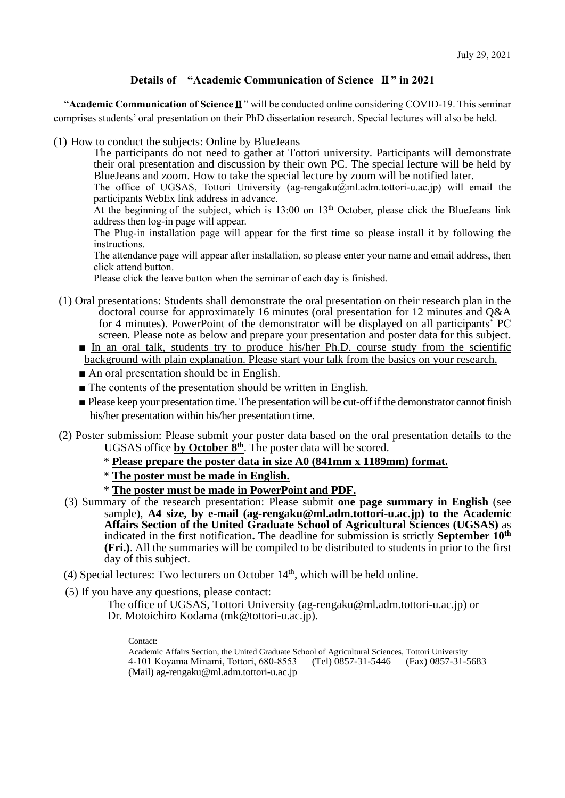## **Details of "Academic Communication of Science** Ⅱ**" in 2021**

"**Academic Communication of Science**Ⅱ" will be conducted online considering COVID-19. This seminar comprises students' oral presentation on their PhD dissertation research. Special lectures will also be held.

(1) How to conduct the subjects: Online by BlueJeans

The participants do not need to gather at Tottori university. Participants will demonstrate their oral presentation and discussion by their own PC. The special lecture will be held by BlueJeans and zoom. How to take the special lecture by zoom will be notified later.

The office of UGSAS, Tottori University (ag-rengaku@ml.adm.tottori-u.ac.jp) will email the participants WebEx link address in advance.

At the beginning of the subject, which is 13:00 on 13<sup>th</sup> October, please click the BlueJeans link address then log-in page will appear.

The Plug-in installation page will appear for the first time so please install it by following the instructions.

The attendance page will appear after installation, so please enter your name and email address, then click attend button.

Please click the leave button when the seminar of each day is finished.

- (1) Oral presentations: Students shall demonstrate the oral presentation on their research plan in the doctoral course for approximately 16 minutes (oral presentation for 12 minutes and Q&A for 4 minutes). PowerPoint of the demonstrator will be displayed on all participants' PC screen. Please note as below and prepare your presentation and poster data for this subject.
	- In an oral talk, students try to produce his/her Ph.D. course study from the scientific background with plain explanation. Please start your talk from the basics on your research.
	- An oral presentation should be in English.
	- The contents of the presentation should be written in English.
	- Please keep your presentation time. The presentation will be cut-off if the demonstrator cannot finish his/her presentation within his/her presentation time.
- (2) Poster submission: Please submit your poster data based on the oral presentation details to the UGSAS office **by October 8 th** . The poster data will be scored.
	- \* **Please prepare the poster data in size A0 (841mm x 1189mm) format.**
	- \* **The poster must be made in English.**
	- \* **The poster must be made in PowerPoint and PDF.**
	- (3) Summary of the research presentation: Please submit **one page summary in English** (see sample), **A4 size, by e-mail [\(ag-rengaku@ml.adm.tottori-u.](mailto:ag-rengaku@ml.adm.tottori-u)ac.jp) to the Academic Affairs Section of the United Graduate School of Agricultural Sciences (UGSAS)** as indicated in the first notification**.** The deadline for submission is strictly **September 10th (Fri.)**. All the summaries will be compiled to be distributed to students in prior to the first day of this subject.
- (4) Special lectures: Two lecturers on October 14<sup>th</sup>, which will be held online.
- (5) If you have any questions, please contact:

The office of UGSAS, Tottori University [\(ag-rengaku@ml.adm.tottori-u.ac.jp\)](mailto:ag-rengaku@ml.adm.tottori-u.ac.jp) or Dr. Motoichiro Kodama [\(mk@tottori-u.ac.jp\)](mailto:mk@tottori-u.ac.jp).

Contact:

Academic Affairs Section, the United Graduate School of Agricultural Sciences, Tottori University 4-101 Koyama Minami, Tottori, 680-8553 (Tel) 0857-31-5446 (Fax) 0857-31-5683 (Mail) ag-rengaku@ml.adm.tottori-u.ac.jp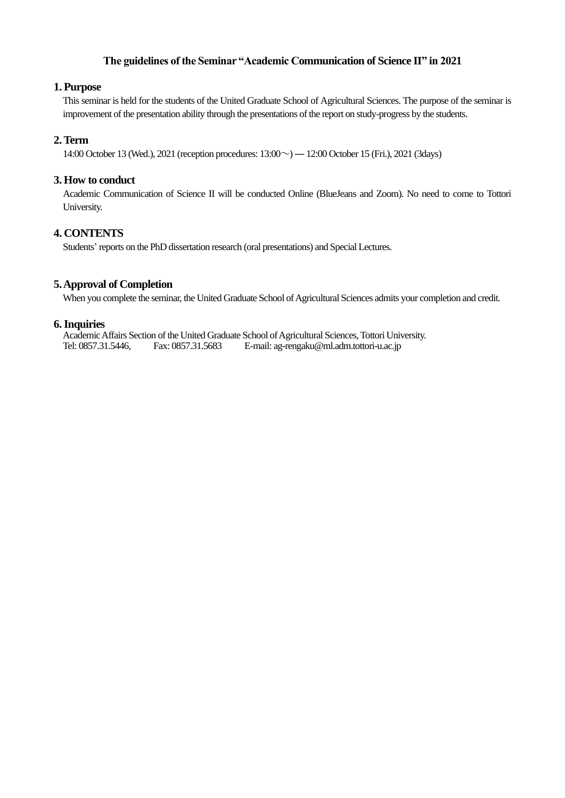#### **The guidelines of the Seminar "Academic Communication of Science II" in 2021**

#### **1. Purpose**

This seminar is held for the students of the United Graduate School of Agricultural Sciences. The purpose of the seminar is improvement of the presentation ability through the presentations of the report on study-progress by the students.

#### **2.Term**

14:00 October 13 (Wed.), 2021 (reception procedures: 13:00~)― 12:00 October 15 (Fri.), 2021 (3days)

#### **3. How to conduct**

Academic Communication of Science II will be conducted Online (BlueJeans and Zoom). No need to come to Tottori University.

### **4. CONTENTS**

Students' reports on the PhD dissertation research (oral presentations) and Special Lectures.

#### **5.Approval of Completion**

When you complete the seminar, the United Graduate School of Agricultural Sciences admits your completion and credit.

#### **6.Inquiries**

Academic Affairs Section of the United Graduate School of Agricultural Sciences,Tottori University. Tel: 0857.31.5446, Fax: 0857.31.5683 E-mail: ag-rengaku@ml.adm.tottori-u.ac.jp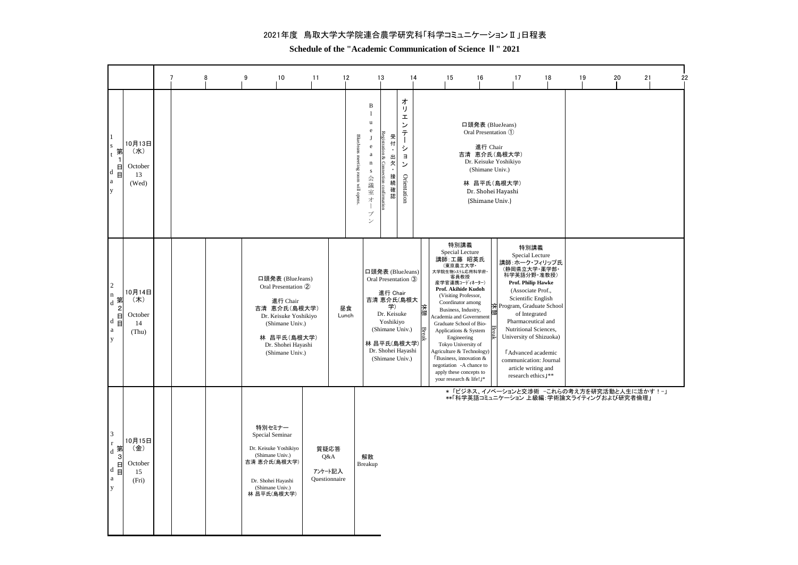#### 2021年度 鳥取大学大学院連合農学研究科「科学コミュニケーションⅡ」日程表

**Schedule of the "Academic Communication of Science Ⅱ" 2021**

|                                                                                                                        |                                         |  | 8 | 9                                                                                                                                             | 10                                                                                                                                                      | 11                                      | 12          |                                                                                                                                                                         | 13                                                                                                                                                                             | 14                                                                                       | 15<br>16                                                                                                                                                                                                                                                                                                                                                                                                                                                          |          | 17                                                                                                                                                                                                                                                                                                                                                                  | 18 | 19 | 20 | 21 | 22 |
|------------------------------------------------------------------------------------------------------------------------|-----------------------------------------|--|---|-----------------------------------------------------------------------------------------------------------------------------------------------|---------------------------------------------------------------------------------------------------------------------------------------------------------|-----------------------------------------|-------------|-------------------------------------------------------------------------------------------------------------------------------------------------------------------------|--------------------------------------------------------------------------------------------------------------------------------------------------------------------------------|------------------------------------------------------------------------------------------|-------------------------------------------------------------------------------------------------------------------------------------------------------------------------------------------------------------------------------------------------------------------------------------------------------------------------------------------------------------------------------------------------------------------------------------------------------------------|----------|---------------------------------------------------------------------------------------------------------------------------------------------------------------------------------------------------------------------------------------------------------------------------------------------------------------------------------------------------------------------|----|----|----|----|----|
| $\mathbf{1}$<br>$\bf S$<br>第<br>日<br>d<br>Ë<br>$\rm{a}$<br>y                                                           | 10月13日<br>(水)<br>October<br>13<br>(Wed) |  |   |                                                                                                                                               |                                                                                                                                                         |                                         |             | $_{\rm B}$<br>$\mathbf{1}$<br>u<br>$\rm e$<br>BlueJeans meeting room will opens<br>J<br>$\rm e$<br>$\mathbf{a}$<br>$\mathbf n$<br>${\bf S}$<br>会議<br>室才<br>-1<br>プ<br>ゝ | Registrati<br>受<br>付<br>on & Con<br>出<br>欠<br>×<br>mection confirm<br>接<br>続確<br>認                                                                                             | 才<br>IJ<br>I<br>ン<br>テ<br>$\overline{\phantom{a}}$<br>シ<br>$\exists$<br>ン<br>Orientation | 口頭発表 (BlueJeans)<br>Oral Presentation ①<br>吉清 恵介氏(島根大学)<br>(Shimane Univ.)<br>(Shimane Univ.)                                                                                                                                                                                                                                                                                                                                                                     | 進行 Chair | Dr. Keisuke Yoshikiyo<br>林 昌平氏(島根大学)<br>Dr. Shohei Hayashi                                                                                                                                                                                                                                                                                                          |    |    |    |    |    |
| $\sqrt{2}$<br>$\mathbf n$<br>$\mathbf{I}_d$ 第<br>$\overline{c}$<br>日<br>$\overline{d}$ $\overline{B}$<br>$\rm{a}$<br>y | 10月14日<br>(木)<br>October<br>14<br>(Thu) |  |   | 吉清 恵介氏(島根大学)                                                                                                                                  | 口頭発表 (BlueJeans)<br>Oral Presentation 2<br>進行 Chair<br>Dr. Keisuke Yoshikiyo<br>(Shimane Univ.)<br>林 昌平氏(島根大学)<br>Dr. Shohei Hayashi<br>(Shimane Univ.) |                                         | 昼食<br>Lunch |                                                                                                                                                                         | 口頭発表 (BlueJeans)<br>Oral Presentation 3<br>進行 Chair<br>吉清 恵介氏(島根大<br>学)<br>Dr. Keisuke<br>Yoshikiyo<br>(Shimane Univ.)<br>林 昌平氏(島根大学)<br>Dr. Shohei Hayashi<br>(Shimane Univ.) |                                                                                          | 特別講義<br>Special Lecture<br>講師:工藤 昭英氏<br>(東京農工大学·<br>大学院生物システム応用科学府<br>客員教授<br>産学官連携コーディネーター)<br>Prof. Akihide Kudoh<br>(Visiting Professor,<br>Coordinator among<br>Business, Industry,<br>Academia and Governmen<br>Graduate School of Bio-<br>Applications & System<br>Engineering<br>Tokyo University of<br>Agriculture & Technology)<br>FBusiness, innovation &<br>negotiation -A chance to<br>apply these concepts to<br>your research & life! <sup>y*</sup> |          | 特別講義<br>Special Lecture<br>講師:ホーク・フィリップ氏<br>(静岡県立大学・薬学部<br>科学英語分野·准教授)<br>Prof. Philip Hawke<br>(Associate Prof.,<br>Scientific English<br>Program, Graduate School<br>of Integrated<br>Pharmaceutical and<br>Nutritional Sciences,<br>University of Shizuoka)<br><b>LAdvanced</b> academic<br>communication: Journal<br>article writing and<br>research ethics J** |    |    |    |    |    |
| 3<br>$\mathbf r$<br>第<br>$\rm d$<br>3<br>日<br>$^{\rm d}$ $\rm\texttt{H}$<br>$\rm{a}$<br>y                              | 10月15日<br>(金)<br>October<br>15<br>(Fri) |  |   | 特別セミナー<br>Special Seminar<br>Dr. Keisuke Yoshikiyo<br>(Shimane Univ.)<br>吉清 恵介氏(島根大学)<br>Dr. Shohei Hayashi<br>(Shimane Univ.)<br>林 昌平氏(島根大学) |                                                                                                                                                         | 質疑応答<br>Q&A<br>アンケート記入<br>Questionnaire |             | 解散<br>Breakup                                                                                                                                                           |                                                                                                                                                                                |                                                                                          | *「ビジネス、イノベーションと交渉術 -これらの考え方を研究活動と人生に活かす!-」<br>**「科学英語コミュニケーション 上級編:学術論文ライティングおよび研究者倫理」                                                                                                                                                                                                                                                                                                                                                                            |          |                                                                                                                                                                                                                                                                                                                                                                     |    |    |    |    |    |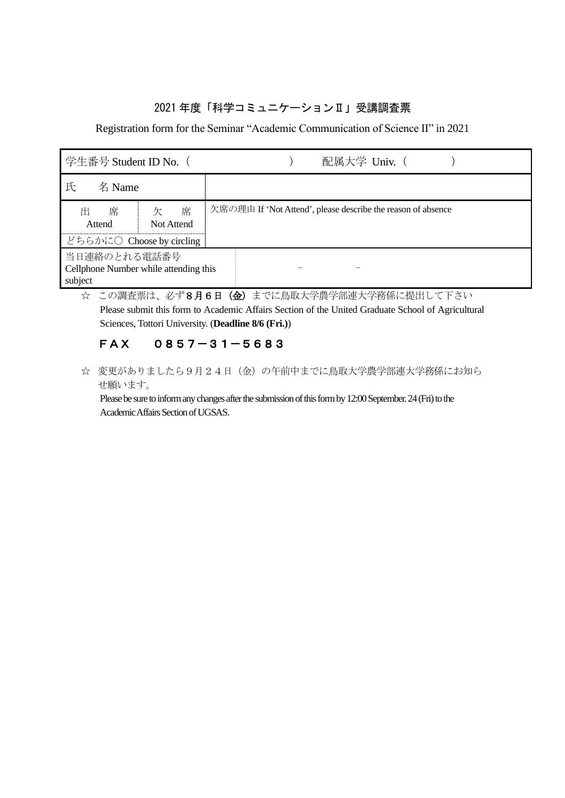### 2021 年度「科学コミュニケーションⅡ」受講調査票

Registration form for the Seminar "Academic Communication of Science Ⅱ" in 2021

| 学生番号 Student ID No. (                            |                      | 配属大学 Univ. (                                                 |  |  |  |  |  |  |  |
|--------------------------------------------------|----------------------|--------------------------------------------------------------|--|--|--|--|--|--|--|
| 氏<br>名 Name                                      |                      |                                                              |  |  |  |  |  |  |  |
| 席<br>出<br>Attend                                 | 席<br>欠<br>Not Attend | 欠席の理由 If 'Not Attend', please describe the reason of absence |  |  |  |  |  |  |  |
| どちらかに〇 Choose by circling                        |                      |                                                              |  |  |  |  |  |  |  |
| 当日連絡のとれる電話番号                                     |                      |                                                              |  |  |  |  |  |  |  |
| Cellphone Number while attending this<br>subject |                      |                                                              |  |  |  |  |  |  |  |

☆ この調査票は、必ず8月6日 (金)までに鳥取大学農学部連大学務係に提出して下さい

Please submit this form to Academic Affairs Section of the United Graduate School of Agricultural Sciences, Tottori University. (**Deadline 8/6 (Fri.)**)

# FAX 0857-31-5683

☆ 変更がありましたら9月24日(金)の午前中までに鳥取大学農学部連大学務係にお知ら せ願います。

Please be sure to inform any changes after the submission of this form by 12:00 September. 24(Fri) to the Academic Affairs Section of UGSAS.